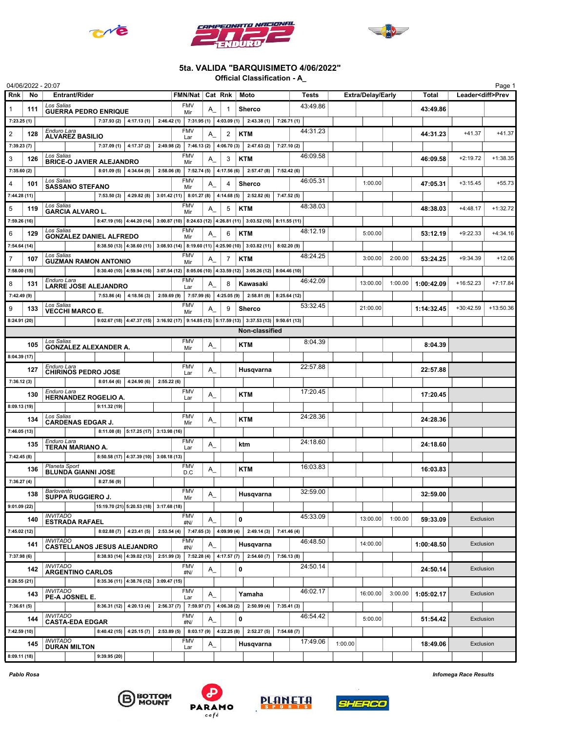





## 5ta. VALIDA "BARQUISIMETO 4/06/2022"

Official Classification - A\_

| 04/06/2022 - 20:07 |     |                                                       |              |                                         |                                     |                   |                |                |                                                                                            |             |          |         |                          |         |            |                          | Page 1      |
|--------------------|-----|-------------------------------------------------------|--------------|-----------------------------------------|-------------------------------------|-------------------|----------------|----------------|--------------------------------------------------------------------------------------------|-------------|----------|---------|--------------------------|---------|------------|--------------------------|-------------|
| <b>Rnk</b>         | No  | <b>Entrant/Rider</b>                                  |              |                                         |                                     | FMN/Nat   Cat Rnk |                |                | Moto                                                                                       |             | Tests    |         | <b>Extra/Delay/Early</b> |         | Total      | Leader <diff>Prev</diff> |             |
| $\mathbf{1}$       | 111 | Los Salias<br><b>GUERRA PEDRO ENRIQUE</b>             |              |                                         |                                     | <b>FMV</b><br>Mir | A              | 1              | <b>Sherco</b>                                                                              |             | 43:49.86 |         |                          |         | 43:49.86   |                          |             |
| 7:23.25(1)         |     |                                                       |              | 7:37.93 (2) $ $ 4:17.13 (1) $ $         | $2:46.42(1)$ 7:31.95(1) 4:03.09(1)  |                   |                |                | 2:43.38(1)                                                                                 | 7:26.71(1)  |          |         |                          |         |            |                          |             |
| $\overline{2}$     | 128 | Enduro Lara<br><b>ALVAREZ BASILIO</b>                 |              |                                         |                                     | <b>FMV</b><br>Lar | A              | $\overline{2}$ | <b>KTM</b>                                                                                 |             | 44:31.23 |         |                          |         | 44:31.23   | $+41.37$                 | $+41.37$    |
| 7:39.23(7)         |     |                                                       |              | $7:37.09(1)$ 4:17.37(2)                 |                                     |                   |                |                | 2:49.98 (2) 7:46.13 (2) 4:06.70 (3) 2:47.63 (2)                                            | 7:27.10(2)  |          |         |                          |         |            |                          |             |
| 3                  | 126 | Los Salias<br><b>BRICE-O JAVIER ALEJANDRO</b>         |              |                                         |                                     | <b>FMV</b><br>Mir | Α              | 3              | <b>KTM</b>                                                                                 |             | 46:09.58 |         |                          |         | 46:09.58   | $+2:19.72$               | $+1:38.35$  |
| 7:35.60(2)         |     |                                                       |              | $8:01.09(5)$ 4:34.64 (9)                | $2:58.06(8)$ 7:52.74(5)             |                   |                | 4:17.56(6)     | 2:57.47(8)                                                                                 | 7:52.42(6)  |          |         |                          |         |            |                          |             |
| $\overline{4}$     | 101 | Los Salias<br><b>SASSANO STEFANO</b>                  |              |                                         |                                     | <b>FMV</b><br>Mir | A              | 4              | <b>Sherco</b>                                                                              |             | 46:05.31 |         | 1:00.00                  |         | 47:05.31   | $+3:15.45$               | $+55.73$    |
| 7:44.28 (11)       |     |                                                       | 7:53.50(3)   | 4:29.82(8)                              |                                     |                   |                |                | $3:01.42(11)$ 8:01.27 (8) 4:14.68 (5) 2:52.82 (6)                                          | 7:47.52(5)  |          |         |                          |         |            |                          |             |
| 5                  | 119 | Los Salias<br><b>GARCIA ALVARO L.</b>                 |              |                                         |                                     | <b>FMV</b>        | Α              | 5              | <b>KTM</b>                                                                                 |             | 48:38.03 |         |                          |         | 48:38.03   | $+4:48.17$               | $+1:32.72$  |
| 7:59.26 (16)       |     |                                                       |              |                                         |                                     | Mir               |                |                | 8:47.19 (16) 4:44.20 (14) 3:00.87 (10) 8:24.63 (12) 4:26.81 (11) 3:03.52 (10) 8:11.55 (11) |             |          |         |                          |         |            |                          |             |
| 6                  | 129 | Los Salias                                            |              |                                         |                                     | <b>FMV</b>        | A              | 6              | <b>KTM</b>                                                                                 |             | 48:12.19 |         | 5:00.00                  |         | 53:12.19   | $+9:22.33$               | $+4:34.16$  |
| 7:54.64 (14)       |     | <b>GONZALEZ DANIEL ALFREDO</b>                        |              |                                         |                                     | Mir               |                |                | 8:38.50 (13) 4:38.60 (11) 3:08.93 (14) 8:19.60 (11) 4:25.90 (10) 3:03.82 (11)              | 8:02.20(9)  |          |         |                          |         |            |                          |             |
| $\overline{7}$     | 107 | Los Salias                                            |              |                                         |                                     | <b>FMV</b>        | A              | 7              | <b>KTM</b>                                                                                 |             | 48:24.25 |         | 3:00.00                  | 2:00.00 | 53:24.25   | $+9:34.39$               | $+12.06$    |
| 7:58.00 (15)       |     | <b>GUZMAN RAMON ANTONIO</b>                           |              |                                         |                                     | Mir               |                |                | 8:30.40 (10) 4:59.94 (16) 3:07.54 (12) 8:05.06 (10) 4:33.59 (12) 3:05.26 (12) 8:04.46 (10) |             |          |         |                          |         |            |                          |             |
| 8                  | 131 | Enduro Lara                                           |              |                                         |                                     | <b>FMV</b>        | A              | 8              | Kawasaki                                                                                   |             | 46:42.09 |         | 13:00.00                 | 1:00.00 | 1:00:42.09 | $+16:52.23$              | $+7:17.84$  |
| 7:42.49 (9)        |     | LARRE JOSE ALEJANDRO                                  |              | $7:53.86(4)$ 4:18.56(3)                 |                                     | Lar               |                |                | $2:59.69(9)$ 7:57.99(6) 4:25.05(9) 2:58.81(9)                                              | 8:25.64(12) |          |         |                          |         |            |                          |             |
| 9                  | 133 | Los Salias                                            |              |                                         |                                     | <b>FMV</b>        |                | 9              | <b>Sherco</b>                                                                              |             | 53:32.45 |         | 21:00.00                 |         | 1:14:32.45 | $+30:42.59$              | $+13:50.36$ |
| 8:24.91 (20)       |     | <b>VECCHI MARCO E.</b>                                |              |                                         |                                     | Mir               | Α              |                | 9:02.67 (18) 4:47.37 (15) 3:16.92 (17) 9:14.85 (13) 5:17.59 (13) 3:37.53 (13) 9:50.61 (13) |             |          |         |                          |         |            |                          |             |
|                    |     |                                                       |              |                                         |                                     |                   |                |                | Non-classified                                                                             |             |          |         |                          |         |            |                          |             |
|                    | 105 | Los Salias                                            |              |                                         |                                     | <b>FMV</b>        |                |                | <b>KTM</b>                                                                                 |             | 8:04.39  |         |                          |         | 8:04.39    |                          |             |
| 8:04.39 (17)       |     | <b>GONZALEZ ALEXANDER A.</b>                          |              |                                         |                                     | Mir               | $A_{-}$        |                |                                                                                            |             |          |         |                          |         |            |                          |             |
|                    |     | Enduro Lara                                           |              |                                         |                                     | <b>FMV</b>        |                |                |                                                                                            |             | 22:57.88 |         |                          |         |            |                          |             |
|                    | 127 | <b>CHIRINOS PEDRO JOSE</b>                            |              |                                         |                                     | Lar               | $A_{\_}$       |                | Husqvarna                                                                                  |             |          |         |                          |         | 22:57.88   |                          |             |
| 7:36.12(3)         |     | Enduro Lara                                           | 8:01.64(6)   | 4:24.90(6)                              | 2:55.22(6)                          | <b>FMV</b>        |                |                |                                                                                            |             | 17:20.45 |         |                          |         |            |                          |             |
|                    | 130 | <b>HERNANDEZ ROGELIO A.</b>                           |              |                                         |                                     | Lar               | A_             |                | <b>KTM</b>                                                                                 |             |          |         |                          |         | 17:20.45   |                          |             |
| 8:09.13 (19)       |     |                                                       | 9:11.32(19)  |                                         |                                     | <b>FMV</b>        |                |                |                                                                                            |             |          |         |                          |         |            |                          |             |
|                    | 134 | Los Salias<br><b>CARDENAS EDGAR J.</b>                |              |                                         |                                     | Mir               | $\mathsf{A}\_$ |                | <b>KTM</b>                                                                                 |             | 24:28.36 |         |                          |         | 24:28.36   |                          |             |
| 7:46.05 (13)       |     |                                                       |              | $8:11.08(8)$ 5:17.25 (17) 3:13.98 (16)  |                                     |                   |                |                |                                                                                            |             |          |         |                          |         |            |                          |             |
|                    | 135 | Enduro Lara<br>TERAN MARIANO A.                       |              |                                         |                                     | <b>FMV</b><br>Lar | A_             |                | ktm                                                                                        |             | 24:18.60 |         |                          |         | 24:18.60   |                          |             |
| 7:42.45(8)         |     |                                                       |              | $8:50.58(17)$ 4:37.39 (10) 3:08.18 (13) |                                     |                   |                |                |                                                                                            |             |          |         |                          |         |            |                          |             |
|                    | 136 | Planeta Sport<br><b>BLUNDA GIANNI JOSE</b>            |              |                                         |                                     | <b>FMV</b><br>D.C | $A_{-}$        |                | <b>KTM</b>                                                                                 |             | 16:03.83 |         |                          |         | 16:03.83   |                          |             |
| 7:36.27(4)         |     |                                                       | 8:27.56(9)   |                                         |                                     |                   |                |                |                                                                                            |             |          |         |                          |         |            |                          |             |
|                    | 138 | Barlovento<br>SUPPA RUGGIERO J.                       |              |                                         |                                     | <b>FMV</b><br>Mir | A              |                | Husqvarna                                                                                  |             | 32:59.00 |         |                          |         | 32:59.00   |                          |             |
| 9:01.09(22)        |     |                                                       |              | 15:19.70 (21) 5:20.53 (18) 3:17.68 (18) |                                     |                   |                |                |                                                                                            |             |          |         |                          |         |            |                          |             |
|                    | 140 | <b>INVITADO</b><br><b>ESTRADA RAFAEL</b>              |              |                                         |                                     | <b>FMV</b><br>#N/ | $A_{-}$        |                | $\mathbf 0$                                                                                |             | 45:33.09 |         | 13:00.00                 | 1:00.00 | 59:33.09   | Exclusion                |             |
| 7:45.02 (12)       |     |                                                       |              | $8:02.88(7)$ 4:23.41(5)                 |                                     |                   |                |                | $2:53.54(4)$ 7:47.65(3) 4:09.99(4) 2:49.14(3)                                              | 7:41.46(4)  |          |         |                          |         |            |                          |             |
|                    | 141 | <b>INVITADO</b><br><b>CASTELLANOS JESUS ALEJANDRO</b> |              |                                         |                                     | <b>FMV</b><br>#N/ | $A_{-}$        |                | Husqvarna                                                                                  |             | 46:48.50 |         | 14:00.00                 |         | 1:00:48.50 | Exclusion                |             |
| 7:37.98(6)         |     |                                                       |              | 8:38.93 (14) $ 4:39.02$ (13) $ $        | 2:51.99 (3) 7:52.28 (4) 4:17.57 (7) |                   |                |                | 2:54.60(7)                                                                                 | 7:56.13(8)  |          |         |                          |         |            |                          |             |
|                    | 142 | <b>INVITADO</b><br><b>ARGENTINO CARLOS</b>            |              |                                         |                                     | <b>FMV</b>        | A_             |                | $\mathbf 0$                                                                                |             | 24:50.14 |         |                          |         | 24:50.14   | Exclusion                |             |
| 8:26.55(21)        |     |                                                       |              | 8:35.36 (11) 4:38.76 (12) 3:09.47 (15)  |                                     | #N/               |                |                |                                                                                            |             |          |         |                          |         |            |                          |             |
|                    | 143 | <b>INVITADO</b><br>PE-A JOSNEL E.                     |              |                                         |                                     | <b>FMV</b>        | $A_{-}$        |                | Yamaha                                                                                     |             | 46:02.17 |         | 16:00.00                 | 3:00.00 | 1:05:02.17 | Exclusion                |             |
| 7:36.61(5)         |     |                                                       |              | $8:36.31(12)$ 4:20.13(4)                | $2:56.37(7)$ 7:59.97(7) 4:06.38(2)  | Lar               |                |                | 2:50.99(4)                                                                                 | 7:35.41(3)  |          |         |                          |         |            |                          |             |
|                    | 144 | <b>INVITADO</b>                                       |              |                                         |                                     | <b>FMV</b>        | A_             |                | $\mathbf 0$                                                                                |             | 46:54.42 |         | 5:00.00                  |         | 51:54.42   | Exclusion                |             |
| 7:42.59 (10)       |     | <b>CASTA-EDA EDGAR</b>                                |              | $8:40.42(15)$ 4:25.15(7)                | $2:53.89(5)$ 8:03.17(9)             | #N/               |                | 4:22.25(8)     | 2:52.27(5)                                                                                 | 7:54.68(7)  |          |         |                          |         |            |                          |             |
|                    |     | <b>INVITADO</b>                                       |              |                                         |                                     | <b>FMV</b>        |                |                |                                                                                            |             | 17:49.06 | 1:00.00 |                          |         |            | Exclusion                |             |
|                    | 145 | <b>DURAN MILTON</b>                                   |              |                                         |                                     | Lar               | $A_{-}$        |                | Husqvarna                                                                                  |             |          |         |                          |         | 18:49.06   |                          |             |
| 8:09.11 (18)       |     |                                                       | 9:39.95 (20) |                                         |                                     |                   |                |                |                                                                                            |             |          |         |                          |         |            |                          |             |







Pablo Rosa Infomega Race Results